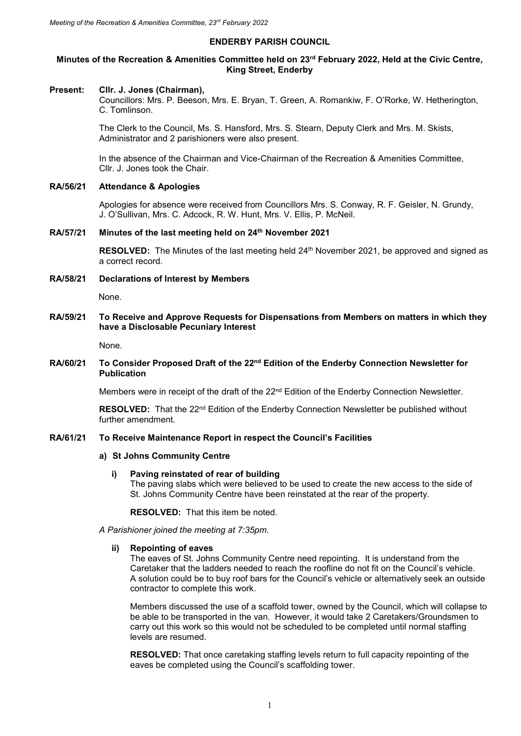## **ENDERBY PARISH COUNCIL**

## **Minutes of the Recreation & Amenities Committee held on 23 rd February 2022, Held at the Civic Centre, King Street, Enderby**

#### **Present: Cllr. J. Jones (Chairman),**

Councillors: Mrs. P. Beeson, Mrs. E. Bryan, T. Green, A. Romankiw, F. O'Rorke, W. Hetherington, C. Tomlinson.

The Clerk to the Council, Ms. S. Hansford, Mrs. S. Stearn, Deputy Clerk and Mrs. M. Skists, Administrator and 2 parishioners were also present.

In the absence of the Chairman and Vice-Chairman of the Recreation & Amenities Committee, Cllr. J. Jones took the Chair.

## **RA/56/21 Attendance & Apologies**

Apologies for absence were received from Councillors Mrs. S. Conway, R. F. Geisler, N. Grundy, J. O'Sullivan, Mrs. C. Adcock, R. W. Hunt, Mrs. V. Ellis, P. McNeil.

### **RA/57/21 Minutes of the last meeting held on 24th November 2021**

**RESOLVED:** The Minutes of the last meeting held 24<sup>th</sup> November 2021, be approved and signed as a correct record.

**RA/58/21 Declarations of Interest by Members**

None.

## **RA/59/21 To Receive and Approve Requests for Dispensations from Members on matters in which they have a Disclosable Pecuniary Interest**

None.

## **RA/60/21 To Consider Proposed Draft of the 22nd Edition of the Enderby Connection Newsletter for Publication**

Members were in receipt of the draft of the 22<sup>nd</sup> Edition of the Enderby Connection Newsletter.

**RESOLVED:** That the 22<sup>nd</sup> Edition of the Enderby Connection Newsletter be published without further amendment.

## **RA/61/21 To Receive Maintenance Report in respect the Council's Facilities**

## **a) St Johns Community Centre**

## **i) Paving reinstated of rear of building**

The paving slabs which were believed to be used to create the new access to the side of St. Johns Community Centre have been reinstated at the rear of the property.

**RESOLVED:** That this item be noted.

### *A Parishioner joined the meeting at 7:35pm.*

#### **ii) Repointing of eaves**

The eaves of St. Johns Community Centre need repointing. It is understand from the Caretaker that the ladders needed to reach the roofline do not fit on the Council's vehicle. A solution could be to buy roof bars for the Council's vehicle or alternatively seek an outside contractor to complete this work.

Members discussed the use of a scaffold tower, owned by the Council, which will collapse to be able to be transported in the van. However, it would take 2 Caretakers/Groundsmen to carry out this work so this would not be scheduled to be completed until normal staffing levels are resumed.

**RESOLVED:** That once caretaking staffing levels return to full capacity repointing of the eaves be completed using the Council's scaffolding tower.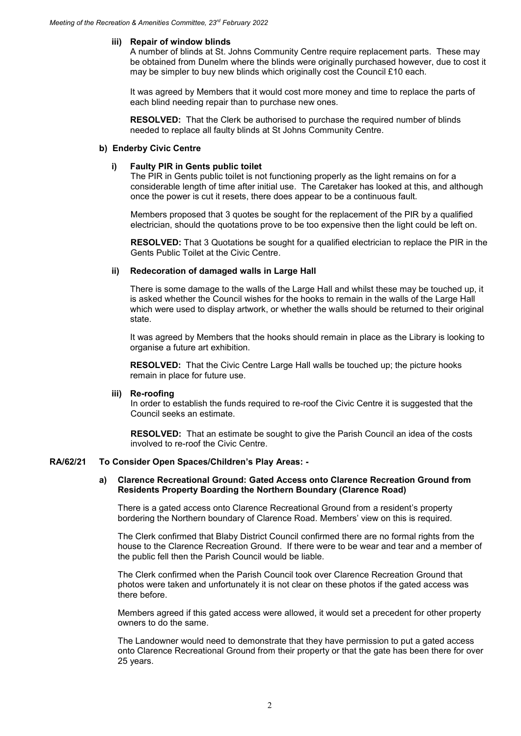## **iii) Repair of window blinds**

A number of blinds at St. Johns Community Centre require replacement parts. These may be obtained from Dunelm where the blinds were originally purchased however, due to cost it may be simpler to buy new blinds which originally cost the Council £10 each.

It was agreed by Members that it would cost more money and time to replace the parts of each blind needing repair than to purchase new ones.

**RESOLVED:** That the Clerk be authorised to purchase the required number of blinds needed to replace all faulty blinds at St Johns Community Centre.

## **b) Enderby Civic Centre**

### **i) Faulty PIR in Gents public toilet**

The PIR in Gents public toilet is not functioning properly as the light remains on for a considerable length of time after initial use. The Caretaker has looked at this, and although once the power is cut it resets, there does appear to be a continuous fault.

Members proposed that 3 quotes be sought for the replacement of the PIR by a qualified electrician, should the quotations prove to be too expensive then the light could be left on.

**RESOLVED:** That 3 Quotations be sought for a qualified electrician to replace the PIR in the Gents Public Toilet at the Civic Centre.

## **ii) Redecoration of damaged walls in Large Hall**

There is some damage to the walls of the Large Hall and whilst these may be touched up, it is asked whether the Council wishes for the hooks to remain in the walls of the Large Hall which were used to display artwork, or whether the walls should be returned to their original state.

It was agreed by Members that the hooks should remain in place as the Library is looking to organise a future art exhibition.

**RESOLVED:** That the Civic Centre Large Hall walls be touched up; the picture hooks remain in place for future use.

#### **iii) Re-roofing**

In order to establish the funds required to re-roof the Civic Centre it is suggested that the Council seeks an estimate.

**RESOLVED:** That an estimate be sought to give the Parish Council an idea of the costs involved to re-roof the Civic Centre.

### **RA/62/21 To Consider Open Spaces/Children's Play Areas: -**

## **a) Clarence Recreational Ground: Gated Access onto Clarence Recreation Ground from Residents Property Boarding the Northern Boundary (Clarence Road)**

There is a gated access onto Clarence Recreational Ground from a resident's property bordering the Northern boundary of Clarence Road. Members' view on this is required.

The Clerk confirmed that Blaby District Council confirmed there are no formal rights from the house to the Clarence Recreation Ground. If there were to be wear and tear and a member of the public fell then the Parish Council would be liable.

The Clerk confirmed when the Parish Council took over Clarence Recreation Ground that photos were taken and unfortunately it is not clear on these photos if the gated access was there before.

Members agreed if this gated access were allowed, it would set a precedent for other property owners to do the same.

The Landowner would need to demonstrate that they have permission to put a gated access onto Clarence Recreational Ground from their property or that the gate has been there for over 25 years.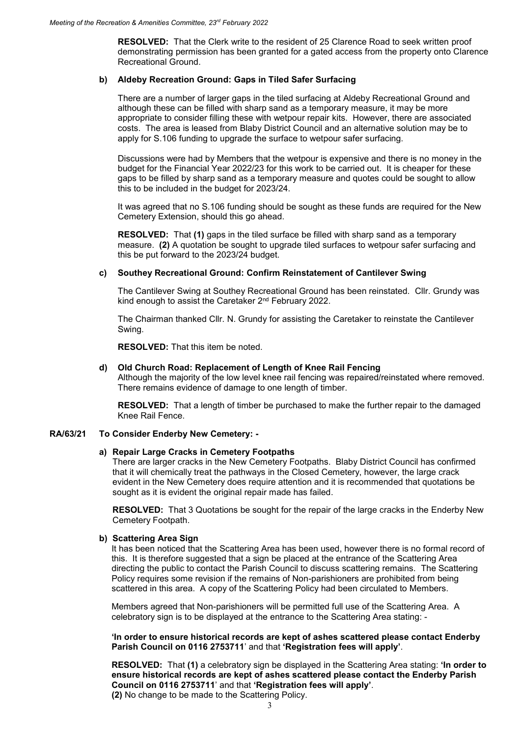**RESOLVED:** That the Clerk write to the resident of 25 Clarence Road to seek written proof demonstrating permission has been granted for a gated access from the property onto Clarence Recreational Ground.

## **b) Aldeby Recreation Ground: Gaps in Tiled Safer Surfacing**

There are a number of larger gaps in the tiled surfacing at Aldeby Recreational Ground and although these can be filled with sharp sand as a temporary measure, it may be more appropriate to consider filling these with wetpour repair kits. However, there are associated costs. The area is leased from Blaby District Council and an alternative solution may be to apply for S.106 funding to upgrade the surface to wetpour safer surfacing.

Discussions were had by Members that the wetpour is expensive and there is no money in the budget for the Financial Year 2022/23 for this work to be carried out. It is cheaper for these gaps to be filled by sharp sand as a temporary measure and quotes could be sought to allow this to be included in the budget for 2023/24.

It was agreed that no S.106 funding should be sought as these funds are required for the New Cemetery Extension, should this go ahead.

**RESOLVED:** That **(1)** gaps in the tiled surface be filled with sharp sand as a temporary measure. **(2)** A quotation be sought to upgrade tiled surfaces to wetpour safer surfacing and this be put forward to the 2023/24 budget.

## **c) Southey Recreational Ground: Confirm Reinstatement of Cantilever Swing**

The Cantilever Swing at Southey Recreational Ground has been reinstated. Cllr. Grundy was kind enough to assist the Caretaker 2nd February 2022.

The Chairman thanked Cllr. N. Grundy for assisting the Caretaker to reinstate the Cantilever Swing.

**RESOLVED:** That this item be noted.

### **d) Old Church Road: Replacement of Length of Knee Rail Fencing**

Although the majority of the low level knee rail fencing was repaired/reinstated where removed. There remains evidence of damage to one length of timber.

**RESOLVED:** That a length of timber be purchased to make the further repair to the damaged Knee Rail Fence.

#### **RA/63/21 To Consider Enderby New Cemetery: -**

#### **a) Repair Large Cracks in Cemetery Footpaths**

There are larger cracks in the New Cemetery Footpaths. Blaby District Council has confirmed that it will chemically treat the pathways in the Closed Cemetery, however, the large crack evident in the New Cemetery does require attention and it is recommended that quotations be sought as it is evident the original repair made has failed.

**RESOLVED:** That 3 Quotations be sought for the repair of the large cracks in the Enderby New Cemetery Footpath.

#### **b) Scattering Area Sign**

It has been noticed that the Scattering Area has been used, however there is no formal record of this. It is therefore suggested that a sign be placed at the entrance of the Scattering Area directing the public to contact the Parish Council to discuss scattering remains. The Scattering Policy requires some revision if the remains of Non-parishioners are prohibited from being scattered in this area. A copy of the Scattering Policy had been circulated to Members.

Members agreed that Non-parishioners will be permitted full use of the Scattering Area. A celebratory sign is to be displayed at the entrance to the Scattering Area stating: -

**'In order to ensure historical records are kept of ashes scattered please contact Enderby Parish Council on 0116 2753711**' and that **'Registration fees will apply'**.

**RESOLVED:** That **(1)** a celebratory sign be displayed in the Scattering Area stating: **'In order to ensure historical records are kept of ashes scattered please contact the Enderby Parish Council on 0116 2753711**' and that **'Registration fees will apply'**.

**(2)** No change to be made to the Scattering Policy.